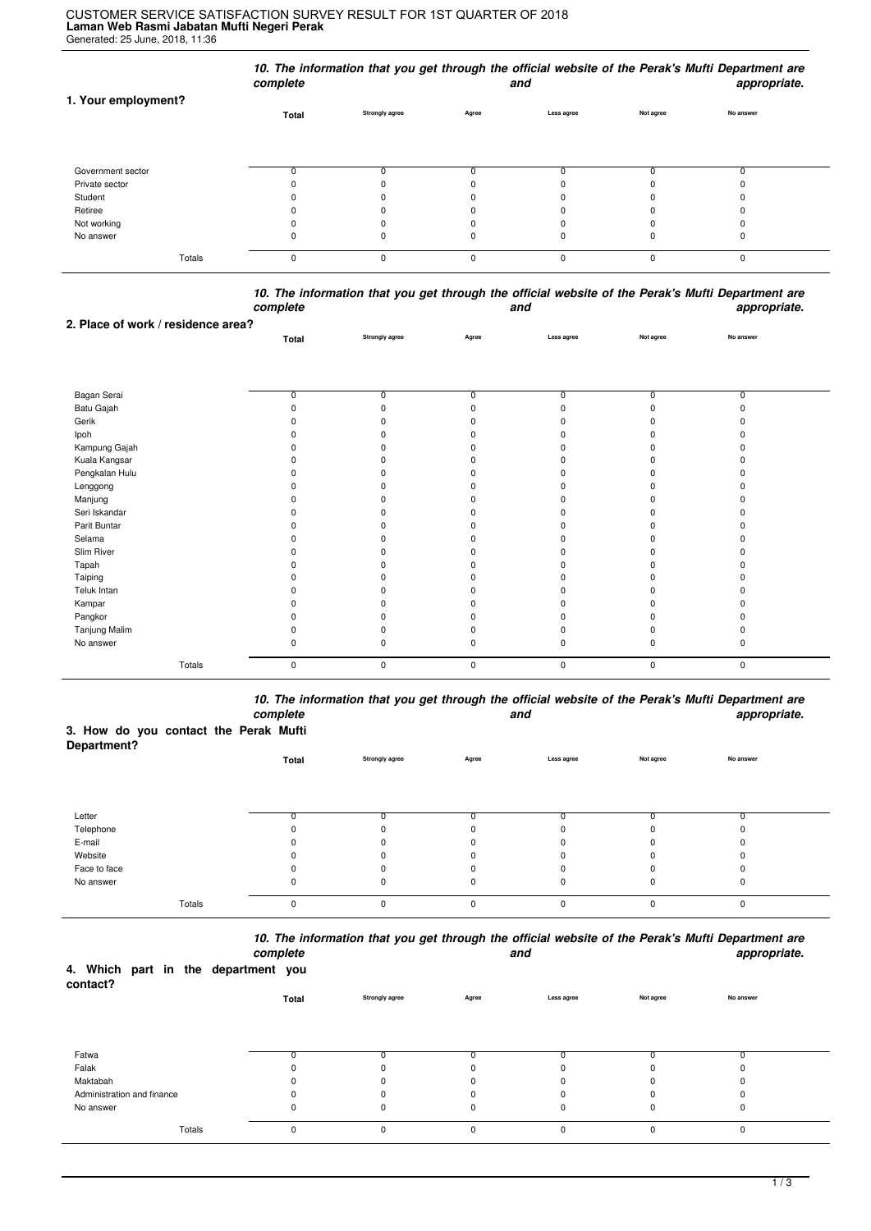## **Laman Web Rasmi Jabatan Mufti Negeri Perak** Generated: 25 June, 2018, 11:36 CUSTOMER SERVICE SATISFACTION SURVEY RESULT FOR 1ST QUARTER OF 2018

|                     | complete |                       |          | and        |           | 10. The information that you get through the official website of the Perak's Mufti Department are<br>appropriate. |  |
|---------------------|----------|-----------------------|----------|------------|-----------|-------------------------------------------------------------------------------------------------------------------|--|
| 1. Your employment? | Total    | <b>Strongly agree</b> | Agree    | Less agree | Not agree | No answer                                                                                                         |  |
| Government sector   |          |                       |          |            |           |                                                                                                                   |  |
| Private sector      |          |                       |          |            |           |                                                                                                                   |  |
| Student             |          |                       |          |            |           |                                                                                                                   |  |
| Retiree             |          |                       |          |            |           |                                                                                                                   |  |
| Not working         |          |                       |          |            |           |                                                                                                                   |  |
| No answer           | O        |                       |          | 0          | O         | 0                                                                                                                 |  |
| Totals              | $\Omega$ |                       | $\Omega$ | $\Omega$   | 0         | $\Omega$                                                                                                          |  |

|          | 10. The information that you get through the official website of the Perak's Mufti Department are |              |
|----------|---------------------------------------------------------------------------------------------------|--------------|
| complete | and                                                                                               | appropriate. |

|                | Total          | <b>Strongly agree</b> | Agree       | Less agree   | Not agree | No answer    |  |
|----------------|----------------|-----------------------|-------------|--------------|-----------|--------------|--|
|                |                |                       |             |              |           |              |  |
|                |                |                       |             |              |           |              |  |
|                |                |                       |             |              |           |              |  |
| Bagan Serai    | $\overline{0}$ | <sup>0</sup>          | n           | 0            | 0         | <sup>0</sup> |  |
| Batu Gajah     |                |                       |             |              | ŋ         |              |  |
| Gerik          |                |                       |             |              |           |              |  |
| Ipoh           |                |                       |             |              |           |              |  |
| Kampung Gajah  |                |                       |             |              |           |              |  |
| Kuala Kangsar  |                |                       |             |              |           |              |  |
| Pengkalan Hulu |                |                       |             |              |           |              |  |
| Lenggong       |                |                       |             |              |           |              |  |
| Manjung        |                |                       |             |              |           |              |  |
| Seri Iskandar  |                |                       |             |              |           |              |  |
| Parit Buntar   |                |                       |             |              |           |              |  |
| Selama         |                |                       |             |              |           |              |  |
| Slim River     |                |                       |             |              |           |              |  |
| Tapah          |                |                       |             |              |           |              |  |
| Taiping        |                |                       |             |              |           |              |  |
| Teluk Intan    |                |                       |             |              |           |              |  |
| Kampar         |                |                       |             |              |           |              |  |
| Pangkor        |                |                       |             |              |           |              |  |
| Tanjung Malim  |                |                       |             |              |           |              |  |
| No answer      | 0              |                       | 0           | <sup>0</sup> | 0         |              |  |
| Totals         | 0              | $\mathbf 0$           | $\mathbf 0$ | $\mathbf 0$  | 0         | $\mathbf 0$  |  |
|                |                |                       |             |              |           |              |  |

*10. The information that you get through the official website of the Perak's Mufti Department are complete and appropriate.*

## **3. How do you contact the Perak Mufti**

**2. Place of work / residence area?**

| Department?  |       |                |          |            |           |           |
|--------------|-------|----------------|----------|------------|-----------|-----------|
|              | Total | Strongly agree | Agree    | Less agree | Not agree | No answer |
|              |       |                |          |            |           |           |
|              |       |                |          |            |           |           |
|              |       |                |          |            |           |           |
| Letter       |       |                |          |            |           |           |
| Telephone    | 0     | $\Omega$       | 0        |            |           |           |
| E-mail       | 0     | $\Omega$       | 0        | 0          |           |           |
| Website      | 0     | $\Omega$       | $\Omega$ | O          |           |           |
| Face to face | 0     | 0              | 0        |            |           |           |
| No answer    | 0     | 0              | 0        | 0          | 0         | υ         |
|              |       |                |          |            |           |           |
| Totals       | 0     | 0              | $\Omega$ | $\Omega$   | $\Omega$  | $\Omega$  |

*10. The information that you get through the official website of the Perak's Mufti Department are*

| 4. Which part in the department you<br>contact? |        | complete |                |             | and         |           | appropriate. |  |
|-------------------------------------------------|--------|----------|----------------|-------------|-------------|-----------|--------------|--|
|                                                 |        | Total    | Strongly agree | Agree       | Less agree  | Not agree | No answer    |  |
|                                                 |        |          |                |             |             |           |              |  |
| Fatwa                                           |        |          |                |             |             |           |              |  |
| Falak                                           |        |          | n              |             |             |           |              |  |
| Maktabah                                        |        |          | 0              | $\Omega$    |             |           |              |  |
| Administration and finance                      |        |          | 0              |             |             |           |              |  |
| No answer                                       |        |          | 0              | $\mathbf 0$ | 0           | 0         |              |  |
|                                                 | Totals | $\Omega$ | $\Omega$       | $\mathbf 0$ | $\mathbf 0$ | $\Omega$  | $\Omega$     |  |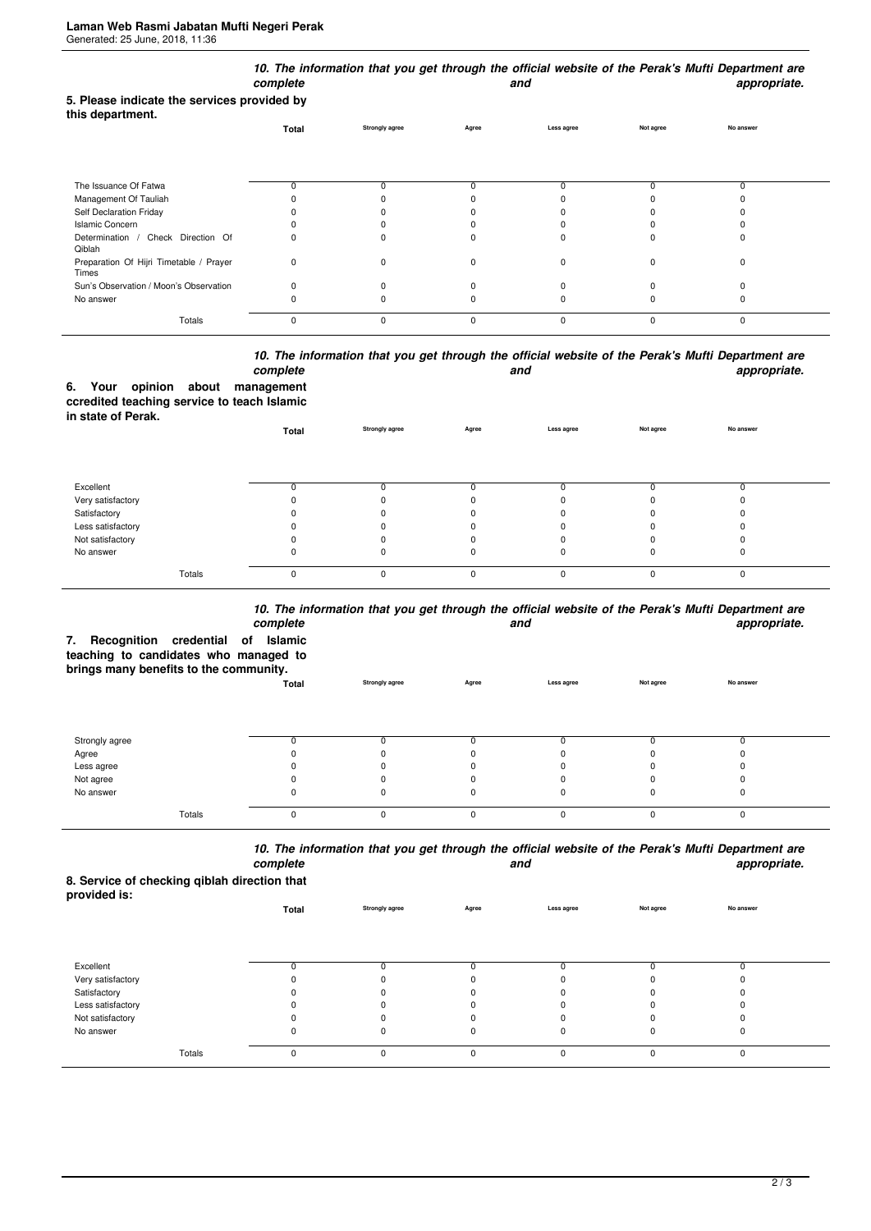|                                                                 | complete     |                       |             | and         |           | 10. The information that you get through the official website of the Perak's Mufti Department are<br>appropriate. |
|-----------------------------------------------------------------|--------------|-----------------------|-------------|-------------|-----------|-------------------------------------------------------------------------------------------------------------------|
| 5. Please indicate the services provided by<br>this department. |              |                       |             |             |           | No answer                                                                                                         |
|                                                                 | Total        | <b>Strongly agree</b> | Agree       | Less agree  | Not agree |                                                                                                                   |
| The Issuance Of Fatwa                                           | n            | $\Omega$              |             |             | n         | 0                                                                                                                 |
| Management Of Tauliah                                           |              |                       |             |             |           |                                                                                                                   |
| Self Declaration Friday                                         |              |                       |             |             |           |                                                                                                                   |
| <b>Islamic Concern</b>                                          |              |                       |             |             |           |                                                                                                                   |
| Determination / Check Direction Of<br>Qiblah                    |              | n                     |             |             |           | ŋ                                                                                                                 |
| Preparation Of Hijri Timetable / Prayer<br>Times                | 0            | $\Omega$              | O           | $\Omega$    | $\Omega$  | $\Omega$                                                                                                          |
| Sun's Observation / Moon's Observation                          | <sup>0</sup> | $\Omega$              |             |             |           | 0                                                                                                                 |
| No answer                                                       |              |                       |             |             |           | ŋ                                                                                                                 |
| Totals                                                          | $\mathbf 0$  | $\mathbf 0$           | $\mathbf 0$ | $\mathbf 0$ | $\Omega$  | 0                                                                                                                 |

## *10. The information that you get through the official website of the Perak's Mufti Department are* **and** and **appropriate.**

|                    |  | complete                                    |
|--------------------|--|---------------------------------------------|
|                    |  | 6. Your opinion about management            |
|                    |  | ccredited teaching service to teach Islamic |
| in state of Perak. |  |                                             |

| <b> .</b>         | Total    | <b>Strongly agree</b> | Agree    | Less agree | Not agree | No answer |  |
|-------------------|----------|-----------------------|----------|------------|-----------|-----------|--|
|                   |          |                       |          |            |           |           |  |
| Excellent         |          |                       |          |            |           |           |  |
| Very satisfactory |          |                       |          |            |           |           |  |
| Satisfactory      |          |                       |          |            |           |           |  |
| Less satisfactory |          |                       |          |            |           |           |  |
| Not satisfactory  |          |                       |          |            |           |           |  |
| No answer         | O        |                       |          |            |           |           |  |
| Totals            | $\Omega$ | 0                     | $\Omega$ | $\Omega$   |           |           |  |

## *10. The information that you get through the official website of the Perak's Mufti Department are*

| Recognition credential of<br>7.<br>teaching to candidates who managed to<br>brings many benefits to the community. | complete<br>Islamic |                       |              | and        |           | TV. The importation that you get through the onicial website of the Felax's multi-bepartment are<br>appropriate. |
|--------------------------------------------------------------------------------------------------------------------|---------------------|-----------------------|--------------|------------|-----------|------------------------------------------------------------------------------------------------------------------|
|                                                                                                                    | Total               | <b>Strongly agree</b> | Agree        | Less agree | Not agree | No answer                                                                                                        |
| Strongly agree                                                                                                     |                     |                       |              | 0          |           |                                                                                                                  |
| Agree                                                                                                              |                     |                       |              |            |           |                                                                                                                  |
| Less agree                                                                                                         |                     |                       |              |            |           |                                                                                                                  |
| Not agree                                                                                                          |                     |                       |              | n          |           |                                                                                                                  |
| No answer                                                                                                          |                     |                       |              | 0          |           |                                                                                                                  |
| Totals                                                                                                             | $\Omega$            | O                     | <sup>0</sup> | $\Omega$   |           | $\Omega$                                                                                                         |

*10. The information that you get through the official website of the Perak's Mufti Department are* **and** and **appropriate.** 

**8. Service of checking qiblah direction that provided is:**

| provided is.      | Total | Strongly agree | Agree | Less agree | Not agree | No answer |  |
|-------------------|-------|----------------|-------|------------|-----------|-----------|--|
|                   |       |                |       |            |           |           |  |
| Excellent         | U     |                |       |            |           |           |  |
| Very satisfactory |       |                |       | 0          |           |           |  |
| Satisfactory      |       |                |       | 0          |           |           |  |
| Less satisfactory |       |                |       | $\Omega$   |           |           |  |
| Not satisfactory  |       |                |       |            |           |           |  |
| No answer         | 0     |                |       | 0          |           |           |  |
| Totals            | 0     | $\Omega$       | U     | 0          |           |           |  |